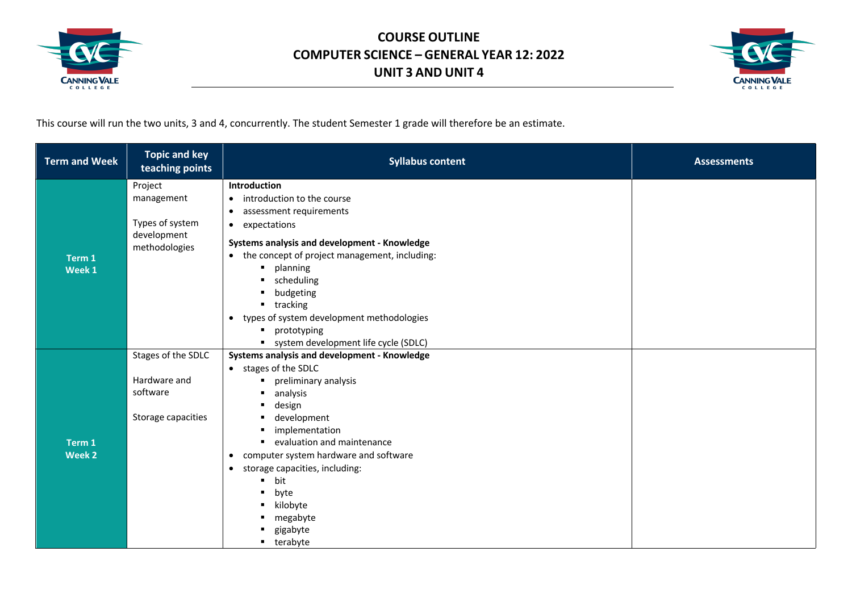



This course will run the two units, 3 and 4, concurrently. The student Semester 1 grade will therefore be an estimate.

| <b>Topic and key</b><br><b>Term and Week</b><br>teaching points | <b>Syllabus content</b>                                                                                                                                                                                                                                                                                    | <b>Assessments</b> |
|-----------------------------------------------------------------|------------------------------------------------------------------------------------------------------------------------------------------------------------------------------------------------------------------------------------------------------------------------------------------------------------|--------------------|
| Project<br>management<br>Types of system<br>development         | Introduction<br>• introduction to the course<br>assessment requirements<br>$\bullet$<br>• expectations                                                                                                                                                                                                     |                    |
| methodologies<br>Term 1<br>Week 1                               | Systems analysis and development - Knowledge<br>• the concept of project management, including:<br>planning<br>$\blacksquare$<br>scheduling<br>$\blacksquare$<br>budgeting<br>٠<br>$-$ tracking<br>• types of system development methodologies<br>prototyping<br>٠<br>system development life cycle (SDLC) |                    |
| Stages of the SDLC                                              | Systems analysis and development - Knowledge                                                                                                                                                                                                                                                               |                    |
| Hardware and<br>software                                        | • stages of the SDLC<br>preliminary analysis<br>$\blacksquare$<br>analysis                                                                                                                                                                                                                                 |                    |
| Storage capacities<br>Term 1<br>Week 2                          | development<br>٠<br>implementation<br>evaluation and maintenance<br>$\blacksquare$<br>• computer system hardware and software<br>storage capacities, including:<br>$\bullet$<br>bit<br>٠<br>byte<br>٠<br>kilobyte<br>٠<br>megabyte<br>gigabyte                                                             |                    |
|                                                                 | design<br>$\blacksquare$<br>terabyte<br>$\blacksquare$                                                                                                                                                                                                                                                     |                    |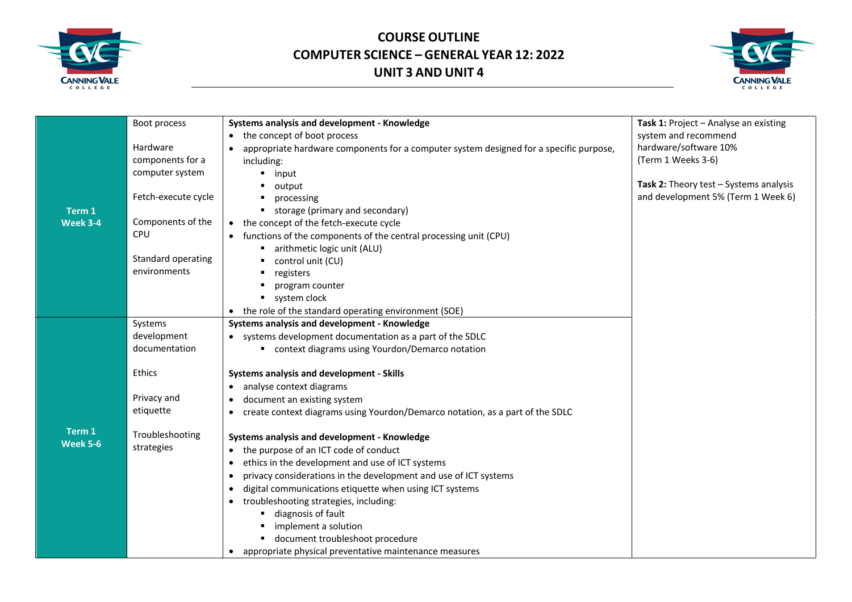



|                 | Boot process        | Systems analysis and development - Knowledge                                           | Task 1: Project - Analyse an existing  |
|-----------------|---------------------|----------------------------------------------------------------------------------------|----------------------------------------|
|                 |                     | the concept of boot process<br>$\bullet$                                               | system and recommend                   |
|                 | Hardware            | appropriate hardware components for a computer system designed for a specific purpose, | hardware/software 10%                  |
|                 | components for a    | including:                                                                             | (Term 1 Weeks 3-6)                     |
|                 | computer system     | input                                                                                  |                                        |
|                 |                     | output                                                                                 | Task 2: Theory test - Systems analysis |
|                 | Fetch-execute cycle | processing                                                                             | and development 5% (Term 1 Week 6)     |
| Term 1          |                     | storage (primary and secondary)                                                        |                                        |
| Week 3-4        | Components of the   | the concept of the fetch-execute cycle<br>$\bullet$                                    |                                        |
|                 | <b>CPU</b>          | functions of the components of the central processing unit (CPU)                       |                                        |
|                 |                     | arithmetic logic unit (ALU)                                                            |                                        |
|                 | Standard operating  | control unit (CU)                                                                      |                                        |
|                 | environments        | registers                                                                              |                                        |
|                 |                     | program counter                                                                        |                                        |
|                 |                     | system clock                                                                           |                                        |
|                 |                     | the role of the standard operating environment (SOE)                                   |                                        |
|                 | Systems             | Systems analysis and development - Knowledge                                           |                                        |
|                 | development         | • systems development documentation as a part of the SDLC                              |                                        |
|                 | documentation       | ■ context diagrams using Yourdon/Demarco notation                                      |                                        |
|                 | Ethics              | Systems analysis and development - Skills                                              |                                        |
|                 |                     | analyse context diagrams<br>$\bullet$                                                  |                                        |
|                 | Privacy and         | document an existing system                                                            |                                        |
|                 | etiquette           | ٠                                                                                      |                                        |
|                 |                     | create context diagrams using Yourdon/Demarco notation, as a part of the SDLC<br>٠     |                                        |
| Term 1          | Troubleshooting     | Systems analysis and development - Knowledge                                           |                                        |
| <b>Week 5-6</b> | strategies          | the purpose of an ICT code of conduct<br>$\bullet$                                     |                                        |
|                 |                     | ethics in the development and use of ICT systems<br>$\bullet$                          |                                        |
|                 |                     | privacy considerations in the development and use of ICT systems<br>٠                  |                                        |
|                 |                     | digital communications etiquette when using ICT systems<br>٠                           |                                        |
|                 |                     | troubleshooting strategies, including:<br>$\bullet$                                    |                                        |
|                 |                     | diagnosis of fault                                                                     |                                        |
|                 |                     | implement a solution                                                                   |                                        |
|                 |                     | document troubleshoot procedure                                                        |                                        |
|                 |                     | appropriate physical preventative maintenance measures                                 |                                        |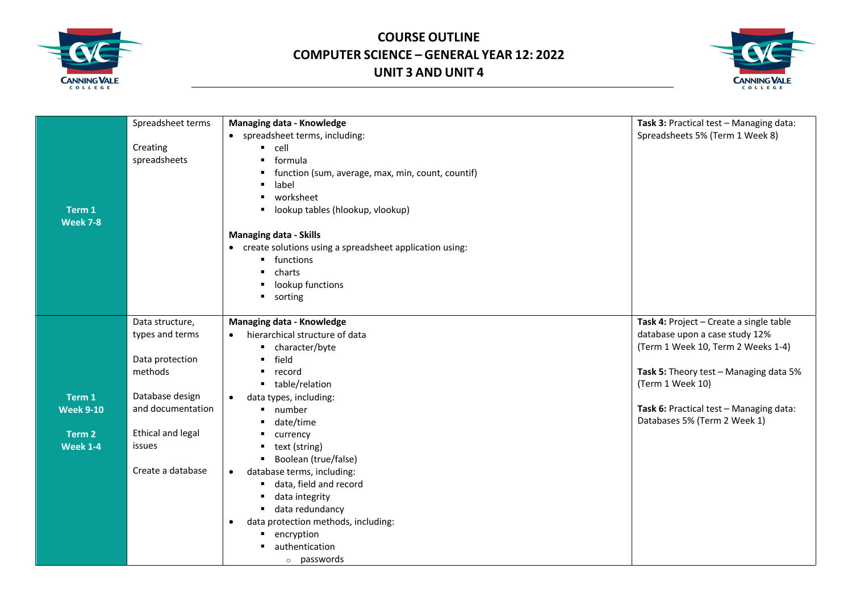



|                  | Spreadsheet terms | <b>Managing data - Knowledge</b>                          | Task 3: Practical test - Managing data: |
|------------------|-------------------|-----------------------------------------------------------|-----------------------------------------|
|                  |                   | • spreadsheet terms, including:                           | Spreadsheets 5% (Term 1 Week 8)         |
|                  | Creating          | cell<br>٠                                                 |                                         |
|                  | spreadsheets      | formula<br>٠                                              |                                         |
|                  |                   | function (sum, average, max, min, count, countif)<br>٠    |                                         |
|                  |                   | label<br>٠                                                |                                         |
|                  |                   | worksheet<br>٠                                            |                                         |
| Term 1           |                   | lookup tables (hlookup, vlookup)<br>٠                     |                                         |
| <b>Week 7-8</b>  |                   |                                                           |                                         |
|                  |                   | <b>Managing data - Skills</b>                             |                                         |
|                  |                   | • create solutions using a spreadsheet application using: |                                         |
|                  |                   | • functions                                               |                                         |
|                  |                   | charts<br>٠                                               |                                         |
|                  |                   | lookup functions<br>٠                                     |                                         |
|                  |                   | sorting<br>٠                                              |                                         |
|                  |                   |                                                           |                                         |
|                  | Data structure,   | <b>Managing data - Knowledge</b>                          | Task 4: Project - Create a single table |
|                  | types and terms   | hierarchical structure of data                            | database upon a case study 12%          |
|                  |                   | character/byte                                            | (Term 1 Week 10, Term 2 Weeks 1-4)      |
|                  | Data protection   | field<br>٠                                                |                                         |
|                  | methods           | record<br>٠                                               | Task 5: Theory test - Managing data 5%  |
|                  |                   | table/relation<br>$\blacksquare$                          | (Term 1 Week 10)                        |
| Term 1           | Database design   | data types, including:<br>$\bullet$                       |                                         |
| <b>Week 9-10</b> | and documentation | number<br>٠                                               | Task 6: Practical test - Managing data: |
|                  |                   | date/time<br>٠                                            | Databases 5% (Term 2 Week 1)            |
| Term 2           | Ethical and legal | currency                                                  |                                         |
| <b>Week 1-4</b>  | issues            | text (string)<br>٠                                        |                                         |
|                  |                   | Boolean (true/false)<br>٠                                 |                                         |
|                  | Create a database | database terms, including:<br>$\bullet$                   |                                         |
|                  |                   | data, field and record<br>٠                               |                                         |
|                  |                   | data integrity<br>٠                                       |                                         |
|                  |                   | data redundancy<br>٠                                      |                                         |
|                  |                   | data protection methods, including:<br>$\bullet$          |                                         |
|                  |                   | encryption                                                |                                         |
|                  |                   | authentication                                            |                                         |
|                  |                   | o passwords                                               |                                         |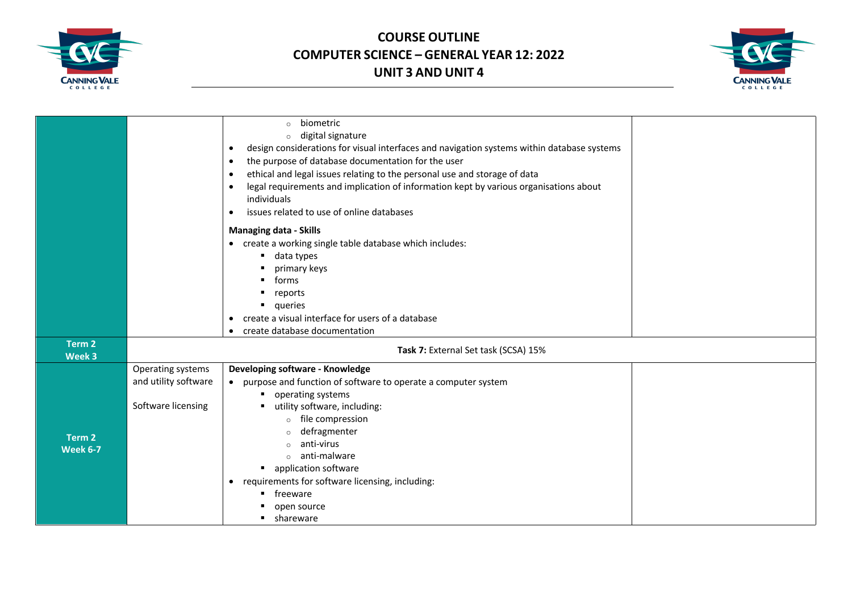



|                   |                      | biometric<br>$\circ$<br>digital signature<br>$\circ$<br>design considerations for visual interfaces and navigation systems within database systems<br>$\bullet$<br>the purpose of database documentation for the user<br>$\bullet$<br>ethical and legal issues relating to the personal use and storage of data<br>٠<br>legal requirements and implication of information kept by various organisations about<br>$\bullet$<br>individuals<br>issues related to use of online databases<br>٠ |  |
|-------------------|----------------------|---------------------------------------------------------------------------------------------------------------------------------------------------------------------------------------------------------------------------------------------------------------------------------------------------------------------------------------------------------------------------------------------------------------------------------------------------------------------------------------------|--|
|                   |                      | <b>Managing data - Skills</b>                                                                                                                                                                                                                                                                                                                                                                                                                                                               |  |
|                   |                      | • create a working single table database which includes:                                                                                                                                                                                                                                                                                                                                                                                                                                    |  |
|                   |                      | data types                                                                                                                                                                                                                                                                                                                                                                                                                                                                                  |  |
|                   |                      | primary keys                                                                                                                                                                                                                                                                                                                                                                                                                                                                                |  |
|                   |                      | forms                                                                                                                                                                                                                                                                                                                                                                                                                                                                                       |  |
|                   |                      | reports                                                                                                                                                                                                                                                                                                                                                                                                                                                                                     |  |
|                   |                      | queries<br>create a visual interface for users of a database<br>$\bullet$                                                                                                                                                                                                                                                                                                                                                                                                                   |  |
|                   |                      | create database documentation                                                                                                                                                                                                                                                                                                                                                                                                                                                               |  |
| Term 2<br>Week 3  |                      | Task 7: External Set task (SCSA) 15%                                                                                                                                                                                                                                                                                                                                                                                                                                                        |  |
|                   | Operating systems    | Developing software - Knowledge                                                                                                                                                                                                                                                                                                                                                                                                                                                             |  |
|                   | and utility software | • purpose and function of software to operate a computer system                                                                                                                                                                                                                                                                                                                                                                                                                             |  |
|                   |                      | operating systems                                                                                                                                                                                                                                                                                                                                                                                                                                                                           |  |
|                   | Software licensing   | utility software, including:                                                                                                                                                                                                                                                                                                                                                                                                                                                                |  |
|                   |                      | file compression<br>$\circ$<br>defragmenter                                                                                                                                                                                                                                                                                                                                                                                                                                                 |  |
| Term <sub>2</sub> |                      | $\circ$<br>anti-virus                                                                                                                                                                                                                                                                                                                                                                                                                                                                       |  |
| <b>Week 6-7</b>   |                      | $\circ$ anti-malware                                                                                                                                                                                                                                                                                                                                                                                                                                                                        |  |
|                   |                      | • application software                                                                                                                                                                                                                                                                                                                                                                                                                                                                      |  |
|                   |                      | requirements for software licensing, including:<br>$\bullet$                                                                                                                                                                                                                                                                                                                                                                                                                                |  |
|                   |                      | freeware                                                                                                                                                                                                                                                                                                                                                                                                                                                                                    |  |
|                   |                      | open source                                                                                                                                                                                                                                                                                                                                                                                                                                                                                 |  |
|                   |                      | shareware                                                                                                                                                                                                                                                                                                                                                                                                                                                                                   |  |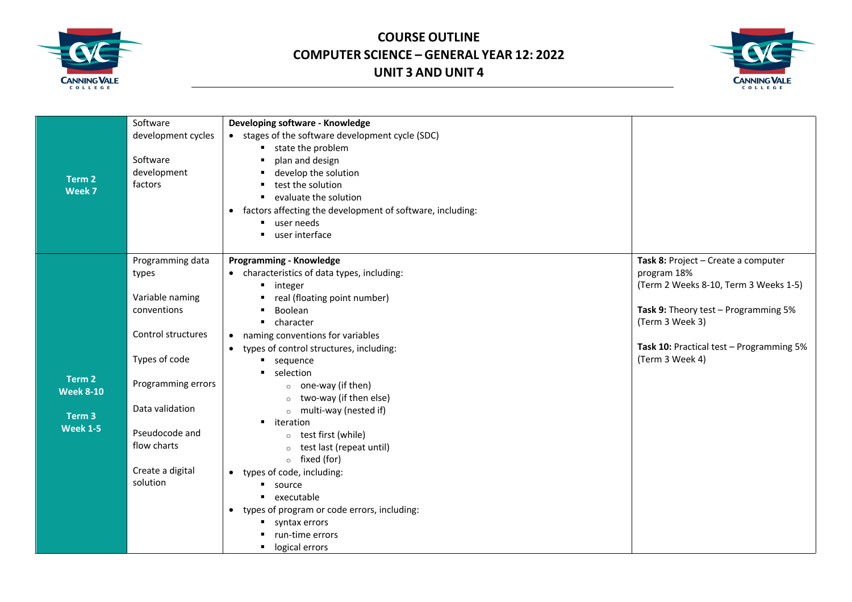



|                   | Software           | Developing software - Knowledge                                        |                                          |
|-------------------|--------------------|------------------------------------------------------------------------|------------------------------------------|
|                   | development cycles | • stages of the software development cycle (SDC)                       |                                          |
|                   |                    | state the problem                                                      |                                          |
|                   | Software           | plan and design<br>$\blacksquare$                                      |                                          |
|                   | development        | develop the solution<br>п.                                             |                                          |
| Term 2            | factors            | test the solution                                                      |                                          |
| Week 7            |                    | evaluate the solution<br>$\blacksquare$                                |                                          |
|                   |                    | factors affecting the development of software, including:<br>$\bullet$ |                                          |
|                   |                    | user needs<br>$\blacksquare$                                           |                                          |
|                   |                    | user interface                                                         |                                          |
|                   | Programming data   | <b>Programming - Knowledge</b>                                         | Task 8: Project - Create a computer      |
|                   | types              | characteristics of data types, including:                              | program 18%                              |
|                   |                    | ■ integer                                                              | (Term 2 Weeks 8-10, Term 3 Weeks 1-5)    |
|                   | Variable naming    | real (floating point number)                                           |                                          |
|                   | conventions        | Boolean                                                                | Task 9: Theory test - Programming 5%     |
|                   |                    | $\blacksquare$ character                                               | (Term 3 Week 3)                          |
|                   | Control structures | naming conventions for variables<br>$\bullet$                          |                                          |
|                   |                    | types of control structures, including:                                | Task 10: Practical test - Programming 5% |
|                   | Types of code      | sequence                                                               | (Term 3 Week 4)                          |
| Term 2            |                    | selection                                                              |                                          |
| <b>Week 8-10</b>  | Programming errors | $\circ$ one-way (if then)                                              |                                          |
|                   |                    | two-way (if then else)                                                 |                                          |
| Term <sub>3</sub> | Data validation    | $\circ$ multi-way (nested if)                                          |                                          |
| <b>Week 1-5</b>   |                    | • iteration                                                            |                                          |
|                   | Pseudocode and     | test first (while)<br>$\circ$                                          |                                          |
|                   | flow charts        | test last (repeat until)                                               |                                          |
|                   |                    | $\circ$ fixed (for)                                                    |                                          |
|                   | Create a digital   | types of code, including:<br>$\bullet$                                 |                                          |
|                   | solution           | <b>source</b>                                                          |                                          |
|                   |                    | executable                                                             |                                          |
|                   |                    | types of program or code errors, including:<br>$\bullet$               |                                          |
|                   |                    | syntax errors                                                          |                                          |
|                   |                    | run-time errors                                                        |                                          |
|                   |                    | logical errors<br>$\blacksquare$                                       |                                          |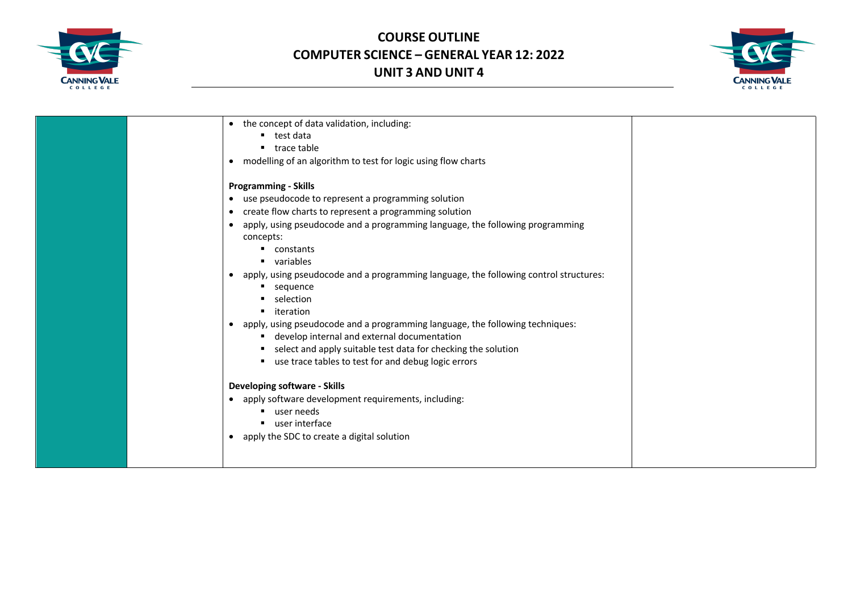



| • the concept of data validation, including:                                                       |  |
|----------------------------------------------------------------------------------------------------|--|
| test data                                                                                          |  |
| trace table                                                                                        |  |
| modelling of an algorithm to test for logic using flow charts<br>$\bullet$                         |  |
| <b>Programming - Skills</b>                                                                        |  |
|                                                                                                    |  |
| use pseudocode to represent a programming solution<br>$\bullet$                                    |  |
| create flow charts to represent a programming solution<br>$\bullet$                                |  |
| apply, using pseudocode and a programming language, the following programming<br>$\bullet$         |  |
| concepts:                                                                                          |  |
| $\blacksquare$ constants                                                                           |  |
| variables                                                                                          |  |
| apply, using pseudocode and a programming language, the following control structures:<br>$\bullet$ |  |
| sequence<br>٠                                                                                      |  |
| selection                                                                                          |  |
| iteration                                                                                          |  |
| apply, using pseudocode and a programming language, the following techniques:<br>$\bullet$         |  |
| develop internal and external documentation                                                        |  |
| select and apply suitable test data for checking the solution<br>٠                                 |  |
| use trace tables to test for and debug logic errors<br>٠                                           |  |
|                                                                                                    |  |
| <b>Developing software - Skills</b>                                                                |  |
| apply software development requirements, including:<br>$\bullet$                                   |  |
| user needs                                                                                         |  |
| user interface                                                                                     |  |
| apply the SDC to create a digital solution<br>$\bullet$                                            |  |
|                                                                                                    |  |
|                                                                                                    |  |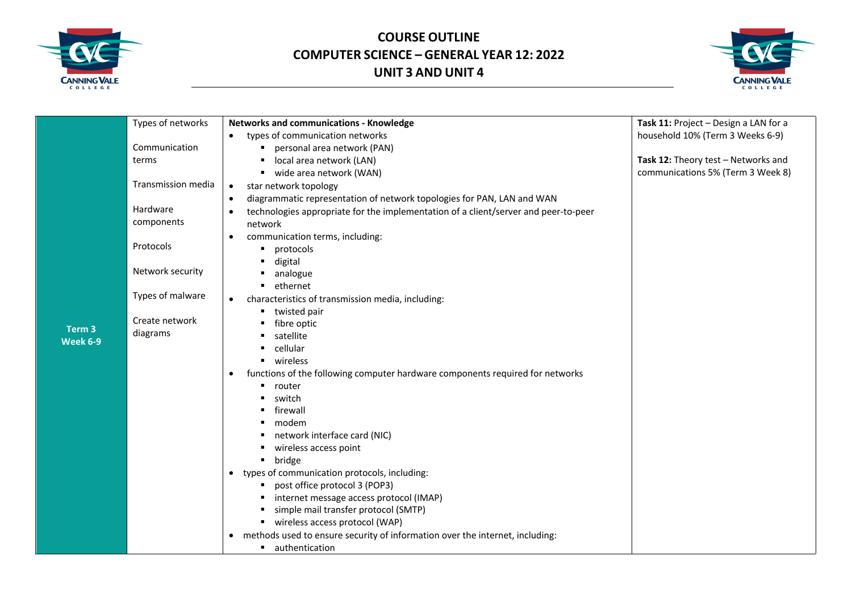



|                   | Types of networks  | <b>Networks and communications - Knowledge</b>                                                   | Task 11: Project - Design a LAN for a |
|-------------------|--------------------|--------------------------------------------------------------------------------------------------|---------------------------------------|
|                   |                    | types of communication networks                                                                  | household 10% (Term 3 Weeks 6-9)      |
|                   | Communication      | personal area network (PAN)                                                                      |                                       |
|                   | terms              | local area network (LAN)<br>п                                                                    | Task 12: Theory test - Networks and   |
|                   |                    | ■ wide area network (WAN)                                                                        | communications 5% (Term 3 Week 8)     |
|                   | Transmission media | star network topology<br>$\bullet$                                                               |                                       |
|                   |                    | diagrammatic representation of network topologies for PAN, LAN and WAN<br>$\bullet$              |                                       |
|                   | Hardware           | technologies appropriate for the implementation of a client/server and peer-to-peer<br>$\bullet$ |                                       |
|                   | components         | network                                                                                          |                                       |
|                   |                    | communication terms, including:<br>$\bullet$                                                     |                                       |
|                   | Protocols          | protocols<br>٠                                                                                   |                                       |
|                   |                    | digital                                                                                          |                                       |
|                   | Network security   | analogue                                                                                         |                                       |
|                   |                    | ethernet                                                                                         |                                       |
|                   | Types of malware   | characteristics of transmission media, including:<br>$\bullet$                                   |                                       |
|                   |                    | • twisted pair                                                                                   |                                       |
| Term <sub>3</sub> | Create network     | fibre optic                                                                                      |                                       |
| Week 6-9          | diagrams           | satellite                                                                                        |                                       |
|                   |                    | cellular                                                                                         |                                       |
|                   |                    | wireless                                                                                         |                                       |
|                   |                    | functions of the following computer hardware components required for networks                    |                                       |
|                   |                    | router                                                                                           |                                       |
|                   |                    | switch                                                                                           |                                       |
|                   |                    | firewall                                                                                         |                                       |
|                   |                    | modem                                                                                            |                                       |
|                   |                    | network interface card (NIC)<br>٠                                                                |                                       |
|                   |                    | wireless access point<br>bridge                                                                  |                                       |
|                   |                    | types of communication protocols, including:<br>$\bullet$                                        |                                       |
|                   |                    | post office protocol 3 (POP3)                                                                    |                                       |
|                   |                    | internet message access protocol (IMAP)                                                          |                                       |
|                   |                    | simple mail transfer protocol (SMTP)                                                             |                                       |
|                   |                    | ■ wireless access protocol (WAP)                                                                 |                                       |
|                   |                    | methods used to ensure security of information over the internet, including:<br>$\bullet$        |                                       |
|                   |                    | uthentication                                                                                    |                                       |